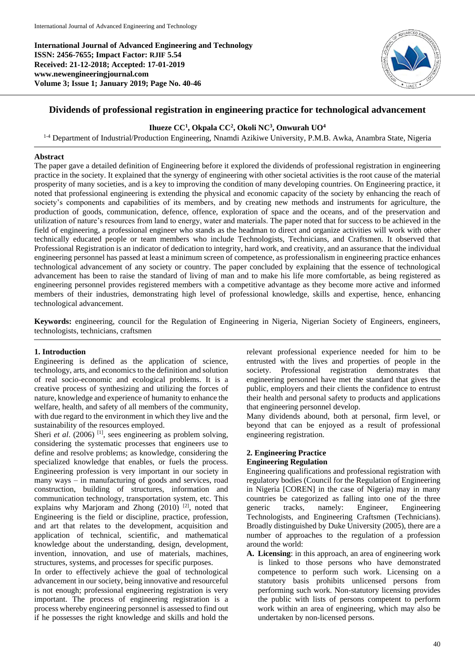**International Journal of Advanced Engineering and Technology ISSN: 2456-7655; Impact Factor: RJIF 5.54 Received: 21-12-2018; Accepted: 17-01-2019 www.newengineeringjournal.com Volume 3; Issue 1; January 2019; Page No. 40-46**



# **Dividends of professional registration in engineering practice for technological advancement**

## **Ihueze CC<sup>1</sup> , Okpala CC<sup>2</sup> , Okoli NC<sup>3</sup> , Onwurah UO<sup>4</sup>**

<sup>1-4</sup> Department of Industrial/Production Engineering, Nnamdi Azikiwe University, P.M.B. Awka, Anambra State, Nigeria

## **Abstract**

The paper gave a detailed definition of Engineering before it explored the dividends of professional registration in engineering practice in the society. It explained that the synergy of engineering with other societal activities is the root cause of the material prosperity of many societies, and is a key to improving the condition of many developing countries. On Engineering practice, it noted that professional engineering is extending the physical and economic capacity of the society by enhancing the reach of society's components and capabilities of its members, and by creating new methods and instruments for agriculture, the production of goods, communication, defence, offence, exploration of space and the oceans, and of the preservation and utilization of nature's resources from land to energy, water and materials. The paper noted that for success to be achieved in the field of engineering, a professional engineer who stands as the headman to direct and organize activities will work with other technically educated people or team members who include Technologists, Technicians, and Craftsmen. It observed that Professional Registration is an indicator of dedication to integrity, hard work, and creativity, and an assurance that the individual engineering personnel has passed at least a minimum screen of competence, as professionalism in engineering practice enhances technological advancement of any society or country. The paper concluded by explaining that the essence of technological advancement has been to raise the standard of living of man and to make his life more comfortable, as being registered as engineering personnel provides registered members with a competitive advantage as they become more active and informed members of their industries, demonstrating high level of professional knowledge, skills and expertise, hence, enhancing technological advancement.

**Keywords:** engineering, council for the Regulation of Engineering in Nigeria, Nigerian Society of Engineers, engineers, technologists, technicians, craftsmen

#### **1. Introduction**

Engineering is defined as the application of science, technology, arts, and economics to the definition and solution of real socio-economic and ecological problems. It is a creative process of synthesizing and utilizing the forces of nature, knowledge and experience of humanity to enhance the welfare, health, and safety of all members of the community, with due regard to the environment in which they live and the sustainability of the resources employed.

Sheri *et al.* (2006) <sup>[1]</sup>, sees engineering as problem solving, considering the systematic processes that engineers use to define and resolve problems; as knowledge, considering the specialized knowledge that enables, or fuels the process. Engineering profession is very important in our society in many ways – in manufacturing of goods and services, road construction, building of structures, information and communication technology, transportation system, etc. This explains why Marjoram and Zhong  $(2010)$  <sup>[2]</sup>, noted that Engineering is the field or discipline, practice, profession, and art that relates to the development, acquisition and application of technical, scientific, and mathematical knowledge about the understanding, design, development, invention, innovation, and use of materials, machines, structures, systems, and processes for specific purposes.

In order to effectively achieve the goal of technological advancement in our society, being innovative and resourceful is not enough; professional engineering registration is very important. The process of engineering registration is a process whereby engineering personnel is assessed to find out if he possesses the right knowledge and skills and hold the relevant professional experience needed for him to be entrusted with the lives and properties of people in the society. Professional registration demonstrates that engineering personnel have met the standard that gives the public, employers and their clients the confidence to entrust their health and personal safety to products and applications that engineering personnel develop.

Many dividends abound, both at personal, firm level, or beyond that can be enjoyed as a result of professional engineering registration.

#### **2. Engineering Practice Engineering Regulation**

Engineering qualifications and professional registration with regulatory bodies (Council for the Regulation of Engineering in Nigeria [COREN] in the case of Nigeria) may in many countries be categorized as falling into one of the three generic tracks, namely: Engineer, Engineering Technologists, and Engineering Craftsmen (Technicians). Broadly distinguished by Duke University (2005), there are a number of approaches to the regulation of a profession around the world:

**A. Licensing**: in this approach, an area of engineering work is linked to those persons who have demonstrated competence to perform such work. Licensing on a statutory basis prohibits unlicensed persons from performing such work. Non-statutory licensing provides the public with lists of persons competent to perform work within an area of engineering, which may also be undertaken by non-licensed persons.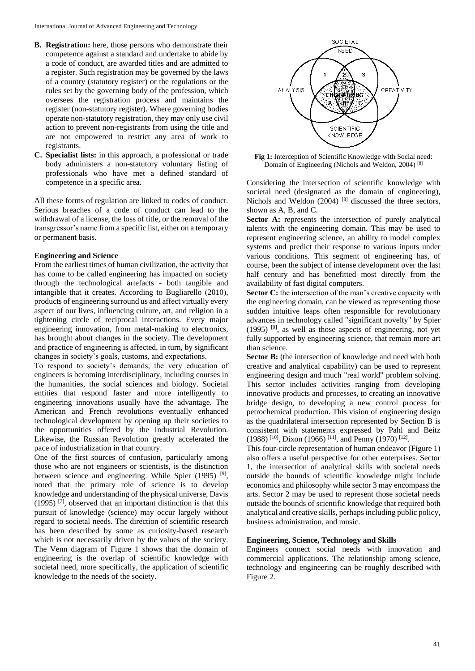- **B. Registration:** here, those persons who demonstrate their competence against a standard and undertake to abide by a code of conduct, are awarded titles and are admitted to a register. Such registration may be governed by the laws of a country (statutory register) or the regulations or the rules set by the governing body of the profession, which oversees the registration process and maintains the register (non-statutory register). Where governing bodies operate non-statutory registration, they may only use civil action to prevent non-registrants from using the title and are not empowered to restrict any area of work to registrants.
- **C. Specialist lists:** in this approach, a professional or trade body administers a non-statutory voluntary listing of professionals who have met a defined standard of competence in a specific area.

All these forms of regulation are linked to codes of conduct. Serious breaches of a code of conduct can lead to the withdrawal of a license, the loss of title, or the removal of the transgressor's name from a specific list, either on a temporary or permanent basis.

#### **Engineering and Science**

From the earliest times of human civilization, the activity that has come to be called engineering has impacted on society through the technological artefacts - both tangible and intangible that it creates. According to Bugliarello (2010), products of engineering surround us and affect virtually every aspect of our lives, influencing culture, art, and religion in a tightening circle of reciprocal interactions. Every major engineering innovation, from metal-making to electronics, has brought about changes in the society. The development and practice of engineering is affected, in turn, by significant changes in society's goals, customs, and expectations.

To respond to society's demands, the very education of engineers is becoming interdisciplinary, including courses in the humanities, the social sciences and biology. Societal entities that respond faster and more intelligently to engineering innovations usually have the advantage. The American and French revolutions eventually enhanced technological development by opening up their societies to the opportunities offered by the Industrial Revolution. Likewise, the Russian Revolution greatly accelerated the pace of industrialization in that country.

One of the first sources of confusion, particularly among those who are not engineers or scientists, is the distinction between science and engineering. While Spier (1995)<sup>[9]</sup>, noted that the primary role of science is to develop knowledge and understanding of the physical universe, Davis  $(1995)$  <sup>[7]</sup>, observed that an important distinction is that this pursuit of knowledge (science) may occur largely without regard to societal needs. The direction of scientific research has been described by some as curiosity-based research which is not necessarily driven by the values of the society. The Venn diagram of Figure 1 shows that the domain of engineering is the overlap of scientific knowledge with societal need, more specifically, the application of scientific knowledge to the needs of the society.



**Fig 1:** Interception of Scientific Knowledge with Social need: Domain of Engineering (Nichols and Weldon, 2004) [8]

Considering the intersection of scientific knowledge with societal need (designated as the domain of engineering), Nichols and Weldon (2004) [8] discussed the three sectors, shown as A, B, and C.

**Sector A:** represents the intersection of purely analytical talents with the engineering domain. This may be used to represent engineering science, an ability to model complex systems and predict their response to various inputs under various conditions. This segment of engineering has, of course, been the subject of intense development over the last half century and has benefitted most directly from the availability of fast digital computers.

**Sector C:** the intersection of the man's creative capacity with the engineering domain, can be viewed as representing those sudden intuitive leaps often responsible for revolutionary advances in technology called "significant novelty" by Spier  $(1995)$  <sup>[9]</sup>, as well as those aspects of engineering, not yet fully supported by engineering science, that remain more art than science.

**Sector B:** (the intersection of knowledge and need with both creative and analytical capability) can be used to represent engineering design and much "real world" problem solving. This sector includes activities ranging from developing innovative products and processes, to creating an innovative bridge design, to developing a new control process for petrochemical production. This vision of engineering design as the quadrilateral intersection represented by Section B is consistent with statements expressed by Pahl and Beitz  $(1988)$  [10], Dixon (1966) [11], and Penny (1970) [12].

This four-circle representation of human endeavor (Figure 1) also offers a useful perspective for other enterprises. Sector 1, the intersection of analytical skills with societal needs outside the bounds of scientific knowledge might include economics and philosophy while sector 3 may encompass the arts. Sector 2 may be used to represent those societal needs outside the bounds of scientific knowledge that required both analytical and creative skills, perhaps including public policy, business administration, and music.

#### **Engineering, Science, Technology and Skills**

Engineers connect social needs with innovation and commercial applications. The relationship among science, technology and engineering can be roughly described with Figure 2.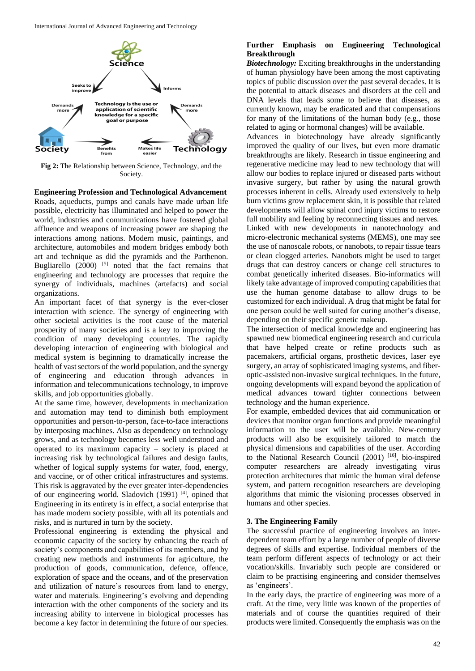

**Fig 2:** The Relationship between Science, Technology, and the Society.

## **Engineering Profession and Technological Advancement**

Roads, aqueducts, pumps and canals have made urban life possible, electricity has illuminated and helped to power the world, industries and communications have fostered global affluence and weapons of increasing power are shaping the interactions among nations. Modern music, paintings, and architecture, automobiles and modern bridges embody both art and technique as did the pyramids and the Parthenon. Bugliarello  $(2000)$ <sup>[5]</sup> noted that the fact remains that engineering and technology are processes that require the synergy of individuals, machines (artefacts) and social organizations.

An important facet of that synergy is the ever-closer interaction with science. The synergy of engineering with other societal activities is the root cause of the material prosperity of many societies and is a key to improving the condition of many developing countries. The rapidly developing interaction of engineering with biological and medical system is beginning to dramatically increase the health of vast sectors of the world population, and the synergy of engineering and education through advances in information and telecommunications technology, to improve skills, and job opportunities globally.

At the same time, however, developments in mechanization and automation may tend to diminish both employment opportunities and person-to-person, face-to-face interactions by interposing machines. Also as dependency on technology grows, and as technology becomes less well understood and operated to its maximum capacity – society is placed at increasing risk by technological failures and design faults, whether of logical supply systems for water, food, energy, and vaccine, or of other critical infrastructures and systems. This risk is aggravated by the ever greater inter-dependencies of our engineering world. Sladovich (1991) [4], opined that Engineering in its entirety is in effect, a social enterprise that has made modern society possible, with all its potentials and risks, and is nurtured in turn by the society.

Professional engineering is extending the physical and economic capacity of the society by enhancing the reach of society's components and capabilities of its members, and by creating new methods and instruments for agriculture, the production of goods, communication, defence, offence, exploration of space and the oceans, and of the preservation and utilization of nature's resources from land to energy, water and materials. Engineering's evolving and depending interaction with the other components of the society and its increasing ability to intervene in biological processes has become a key factor in determining the future of our species.

#### **Further Emphasis on Engineering Technological Breakthrough**

*Biotechnology:* Exciting breakthroughs in the understanding of human physiology have been among the most captivating topics of public discussion over the past several decades. It is the potential to attack diseases and disorders at the cell and DNA levels that leads some to believe that diseases, as currently known, may be eradicated and that compensations for many of the limitations of the human body (e.g., those related to aging or hormonal changes) will be available.

Advances in biotechnology have already significantly improved the quality of our lives, but even more dramatic breakthroughs are likely. Research in tissue engineering and regenerative medicine may lead to new technology that will allow our bodies to replace injured or diseased parts without invasive surgery, but rather by using the natural growth processes inherent in cells. Already used extensively to help burn victims grow replacement skin, it is possible that related developments will allow spinal cord injury victims to restore full mobility and feeling by reconnecting tissues and nerves. Linked with new developments in nanotechnology and micro-electronic mechanical systems (MEMS), one may see the use of nanoscale robots, or nanobots, to repair tissue tears or clean clogged arteries. Nanobots might be used to target drugs that can destroy cancers or change cell structures to combat genetically inherited diseases. Bio-informatics will likely take advantage of improved computing capabilities that use the human genome database to allow drugs to be customized for each individual. A drug that might be fatal for one person could be well suited for curing another's disease, depending on their specific genetic makeup.

The intersection of medical knowledge and engineering has spawned new biomedical engineering research and curricula that have helped create or refine products such as pacemakers, artificial organs, prosthetic devices, laser eye surgery, an array of sophisticated imaging systems, and fiberoptic-assisted non-invasive surgical techniques. In the future, ongoing developments will expand beyond the application of medical advances toward tighter connections between technology and the human experience.

For example, embedded devices that aid communication or devices that monitor organ functions and provide meaningful information to the user will be available. New-century products will also be exquisitely tailored to match the physical dimensions and capabilities of the user. According to the National Research Council (2001)<sup>[16]</sup>, bio-inspired computer researchers are already investigating virus protection architectures that mimic the human viral defense system, and pattern recognition researchers are developing algorithms that mimic the visioning processes observed in humans and other species.

#### **3. The Engineering Family**

The successful practice of engineering involves an interdependent team effort by a large number of people of diverse degrees of skills and expertise. Individual members of the team perform different aspects of technology or act their vocation/skills. Invariably such people are considered or claim to be practising engineering and consider themselves as 'engineers'.

In the early days, the practice of engineering was more of a craft. At the time, very little was known of the properties of materials and of course the quantities required of their products were limited. Consequently the emphasis was on the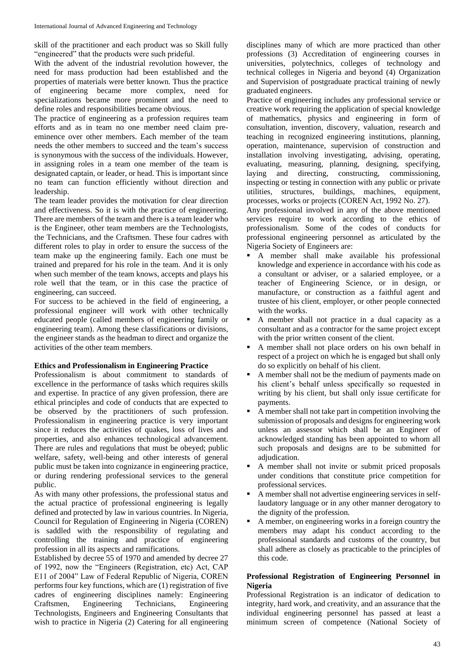skill of the practitioner and each product was so Skill fully "engineered" that the products were such prideful.

With the advent of the industrial revolution however, the need for mass production had been established and the properties of materials were better known. Thus the practice of engineering became more complex, need for specializations became more prominent and the need to define roles and responsibilities became obvious.

The practice of engineering as a profession requires team efforts and as in team no one member need claim preeminence over other members. Each member of the team needs the other members to succeed and the team's success is synonymous with the success of the individuals. However, in assigning roles in a team one member of the team is designated captain, or leader, or head. This is important since no team can function efficiently without direction and leadership.

The team leader provides the motivation for clear direction and effectiveness. So it is with the practice of engineering. There are members of the team and there is a team leader who is the Engineer, other team members are the Technologists, the Technicians, and the Craftsmen. These four cadres with different roles to play in order to ensure the success of the team make up the engineering family. Each one must be trained and prepared for his role in the team. And it is only when such member of the team knows, accepts and plays his role well that the team, or in this case the practice of engineering, can succeed.

For success to be achieved in the field of engineering, a professional engineer will work with other technically educated people (called members of engineering family or engineering team). Among these classifications or divisions, the engineer stands as the headman to direct and organize the activities of the other team members.

## **Ethics and Professionalism in Engineering Practice**

Professionalism is about commitment to standards of excellence in the performance of tasks which requires skills and expertise. In practice of any given profession, there are ethical principles and code of conducts that are expected to be observed by the practitioners of such profession. Professionalism in engineering practice is very important since it reduces the activities of quakes, loss of lives and properties, and also enhances technological advancement. There are rules and regulations that must be obeyed; public welfare, safety, well-being and other interests of general public must be taken into cognizance in engineering practice, or during rendering professional services to the general public.

As with many other professions, the professional status and the actual practice of professional engineering is legally defined and protected by law in various countries. In Nigeria, Council for Regulation of Engineering in Nigeria (COREN) is saddled with the responsibility of regulating and controlling the training and practice of engineering profession in all its aspects and ramifications.

Established by decree 55 of 1970 and amended by decree 27 of 1992, now the "Engineers (Registration, etc) Act, CAP E11 of 2004" Law of Federal Republic of Nigeria, COREN performs four key functions, which are (1) registration of five cadres of engineering disciplines namely: Engineering Craftsmen, Engineering Technicians, Engineering Technologists, Engineers and Engineering Consultants that wish to practice in Nigeria (2) Catering for all engineering disciplines many of which are more practiced than other professions (3) Accreditation of engineering courses in universities, polytechnics, colleges of technology and technical colleges in Nigeria and beyond (4) Organization and Supervision of postgraduate practical training of newly graduated engineers.

Practice of engineering includes any professional service or creative work requiring the application of special knowledge of mathematics, physics and engineering in form of consultation, invention, discovery, valuation, research and teaching in recognized engineering institutions, planning, operation, maintenance, supervision of construction and installation involving investigating, advising, operating, evaluating, measuring, planning, designing, specifying, laying and directing, constructing, commissioning, inspecting or testing in connection with any public or private utilities, structures, buildings, machines, equipment, processes, works or projects (COREN Act, 1992 No. 27).

Any professional involved in any of the above mentioned services require to work according to the ethics of professionalism. Some of the codes of conducts for professional engineering personnel as articulated by the Nigeria Society of Engineers are:

- A member shall make available his professional knowledge and experience in accordance with his code as a consultant or adviser, or a salaried employee, or a teacher of Engineering Science, or in design, or manufacture, or construction as a faithful agent and trustee of his client, employer, or other people connected with the works.
- A member shall not practice in a dual capacity as a consultant and as a contractor for the same project except with the prior written consent of the client.
- A member shall not place orders on his own behalf in respect of a project on which he is engaged but shall only do so explicitly on behalf of his client.
- A member shall not be the medium of payments made on his client's behalf unless specifically so requested in writing by his client, but shall only issue certificate for payments.
- A member shall not take part in competition involving the submission of proposals and designs for engineering work unless an assessor which shall be an Engineer of acknowledged standing has been appointed to whom all such proposals and designs are to be submitted for adjudication.
- A member shall not invite or submit priced proposals under conditions that constitute price competition for professional services.
- A member shall not advertise engineering services in selflaudatory language or in any other manner derogatory to the dignity of the profession.
- A member, on engineering works in a foreign country the members may adapt his conduct according to the professional standards and customs of the country, but shall adhere as closely as practicable to the principles of this code.

## **Professional Registration of Engineering Personnel in Nigeria**

Professional Registration is an indicator of dedication to integrity, hard work, and creativity, and an assurance that the individual engineering personnel has passed at least a minimum screen of competence (National Society of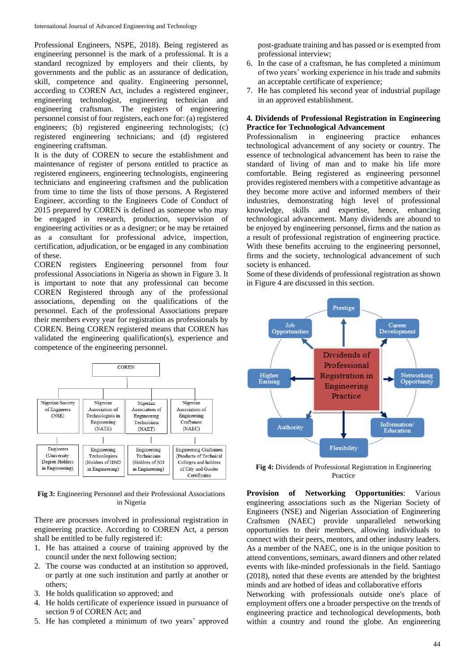Professional Engineers, NSPE, 2018). Being registered as engineering personnel is the mark of a professional. It is a standard recognized by employers and their clients, by governments and the public as an assurance of dedication, skill, competence and quality. Engineering personnel, according to COREN Act, includes a registered engineer, engineering technologist, engineering technician and engineering craftsman. The registers of engineering personnel consist of four registers, each one for: (a) registered engineers; (b) registered engineering technologists; (c) registered engineering technicians; and (d) registered engineering craftsman.

It is the duty of COREN to secure the establishment and maintenance of register of persons entitled to practice as registered engineers, engineering technologists, engineering technicians and engineering craftsmen and the publication from time to time the lists of those persons. A Registered Engineer, according to the Engineers Code of Conduct of 2015 prepared by COREN is defined as someone who may be engaged in research, production, supervision of engineering activities or as a designer; or he may be retained as a consultant for professional advice, inspection, certification, adjudication, or be engaged in any combination of these.

COREN registers Engineering personnel from four professional Associations in Nigeria as shown in Figure 3. It is important to note that any professional can become COREN Registered through any of the professional associations, depending on the qualifications of the personnel. Each of the professional Associations prepare their members every year for registration as professionals by COREN. Being COREN registered means that COREN has validated the engineering qualification(s), experience and competence of the engineering personnel.



**Fig 3:** Engineering Personnel and their Professional Associations in Nigeria

There are processes involved in professional registration in engineering practice. According to COREN Act, a person shall be entitled to be fully registered if:

- 1. He has attained a course of training approved by the council under the next following section;
- 2. The course was conducted at an institution so approved, or partly at one such institution and partly at another or others;
- 3. He holds qualification so approved; and
- 4. He holds certificate of experience issued in pursuance of section 9 of COREN Act; and
- 5. He has completed a minimum of two years' approved

post-graduate training and has passed or is exempted from professional interview;

- 6. In the case of a craftsman, he has completed a minimum of two years' working experience in his trade and submits an acceptable certificate of experience;
- 7. He has completed his second year of industrial pupilage in an approved establishment.

## **4. Dividends of Professional Registration in Engineering Practice for Technological Advancement**

Professionalism in engineering practice enhances technological advancement of any society or country. The essence of technological advancement has been to raise the standard of living of man and to make his life more comfortable. Being registered as engineering personnel provides registered members with a competitive advantage as they become more active and informed members of their industries, demonstrating high level of professional knowledge, skills and expertise, hence, enhancing technological advancement. Many dividends are abound to be enjoyed by engineering personnel, firms and the nation as a result of professional registration of engineering practice. With these benefits accruing to the engineering personnel, firms and the society, technological advancement of such society is enhanced.

Some of these dividends of professional registration as shown in Figure 4 are discussed in this section.



**Fig 4:** Dividends of Professional Registration in Engineering Practice

**Provision of Networking Opportunities**: Various engineering associations such as the Nigerian Society of Engineers (NSE) and Nigerian Association of Engineering Craftsmen (NAEC) provide unparalleled networking opportunities to their members, allowing individuals to connect with their peers, mentors, and other industry leaders. As a member of the NAEC, one is in the unique position to attend conventions, seminars, award dinners and other related events with like-minded professionals in the field. Santiago (2018), noted that these events are attended by the brightest minds and are hotbed of ideas and collaborative efforts

Networking with professionals outside one's place of employment offers one a broader perspective on the trends of engineering practice and technological developments, both within a country and round the globe. An engineering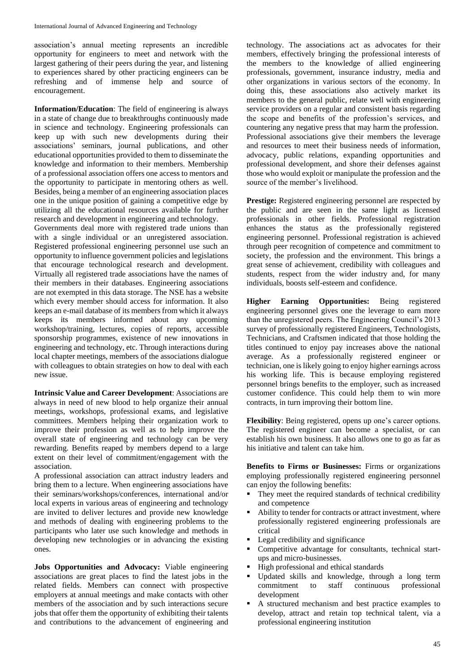association's annual meeting represents an incredible opportunity for engineers to meet and network with the largest gathering of their peers during the year, and listening to experiences shared by other practicing engineers can be refreshing and of immense help and source of encouragement.

**Information/Education**: The field of engineering is always in a state of change due to breakthroughs continuously made in science and technology. Engineering professionals can keep up with such new developments during their associations' seminars, journal publications, and other educational opportunities provided to them to disseminate the knowledge and information to their members. Membership of a professional association offers one access to mentors and the opportunity to participate in mentoring others as well. Besides, being a member of an engineering association places one in the unique position of gaining a competitive edge by utilizing all the educational resources available for further research and development in engineering and technology.

Governments deal more with registered trade unions than with a single individual or an unregistered association. Registered professional engineering personnel use such an opportunity to influence government policies and legislations that encourage technological research and development. Virtually all registered trade associations have the names of their members in their databases. Engineering associations are not exempted in this data storage. The NSE has a website which every member should access for information. It also keeps an e-mail database of its members from which it always keeps its members informed about any upcoming workshop/training, lectures, copies of reports, accessible sponsorship programmes, existence of new innovations in engineering and technology, etc. Through interactions during local chapter meetings, members of the associations dialogue with colleagues to obtain strategies on how to deal with each new issue.

**Intrinsic Value and Career Development**: Associations are always in need of new blood to help organize their annual meetings, workshops, professional exams, and legislative committees. Members helping their organization work to improve their profession as well as to help improve the overall state of engineering and technology can be very rewarding. Benefits reaped by members depend to a large extent on their level of commitment/engagement with the association.

A professional association can attract industry leaders and bring them to a lecture. When engineering associations have their seminars/workshops/conferences, international and/or local experts in various areas of engineering and technology are invited to deliver lectures and provide new knowledge and methods of dealing with engineering problems to the participants who later use such knowledge and methods in developing new technologies or in advancing the existing ones.

**Jobs Opportunities and Advocacy:** Viable engineering associations are great places to find the latest jobs in the related fields. Members can connect with prospective employers at annual meetings and make contacts with other members of the association and by such interactions secure jobs that offer them the opportunity of exhibiting their talents and contributions to the advancement of engineering and

technology. The associations act as advocates for their members, effectively bringing the professional interests of the members to the knowledge of allied engineering professionals, government, insurance industry, media and other organizations in various sectors of the economy. In doing this, these associations also actively market its members to the general public, relate well with engineering service providers on a regular and consistent basis regarding the scope and benefits of the profession's services, and countering any negative press that may harm the profession. Professional associations give their members the leverage and resources to meet their business needs of information, advocacy, public relations, expanding opportunities and professional development, and shore their defenses against those who would exploit or manipulate the profession and the source of the member's livelihood.

**Prestige:** Registered engineering personnel are respected by the public and are seen in the same light as licensed professionals in other fields. Professional registration enhances the status as the professionally registered engineering personnel. Professional registration is achieved through peer recognition of competence and commitment to society, the profession and the environment. This brings a great sense of achievement, credibility with colleagues and students, respect from the wider industry and, for many individuals, boosts self-esteem and confidence.

**Higher Earning Opportunities:** Being registered engineering personnel gives one the leverage to earn more than the unregistered peers. The Engineering Council's 2013 survey of professionally registered Engineers, Technologists, Technicians, and Craftsmen indicated that those holding the titles continued to enjoy pay increases above the national average. As a professionally registered engineer or technician, one is likely going to enjoy higher earnings across his working life. This is because employing registered personnel brings benefits to the employer, such as increased customer confidence. This could help them to win more contracts, in turn improving their bottom line.

**Flexibility**: Being registered, opens up one's career options. The registered engineer can become a specialist, or can establish his own business. It also allows one to go as far as his initiative and talent can take him.

**Benefits to Firms or Businesses:** Firms or organizations employing professionally registered engineering personnel can enjoy the following benefits:

- They meet the required standards of technical credibility and competence
- Ability to tender for contracts or attract investment, where professionally registered engineering professionals are critical
- Legal credibility and significance
- Competitive advantage for consultants, technical startups and micro-businesses.
- High professional and ethical standards
- Updated skills and knowledge, through a long term commitment to staff continuous professional development
- A structured mechanism and best practice examples to develop, attract and retain top technical talent, via a professional engineering institution